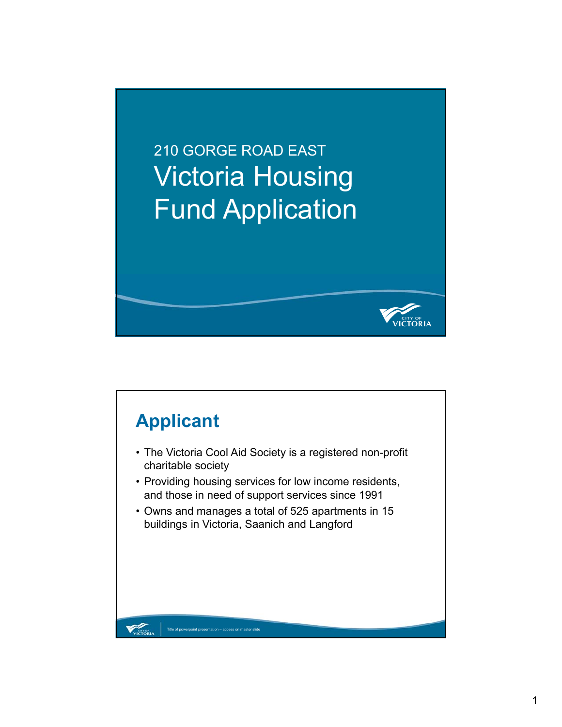210 GORGE ROAD EAST Victoria Housing Fund Application



TORIA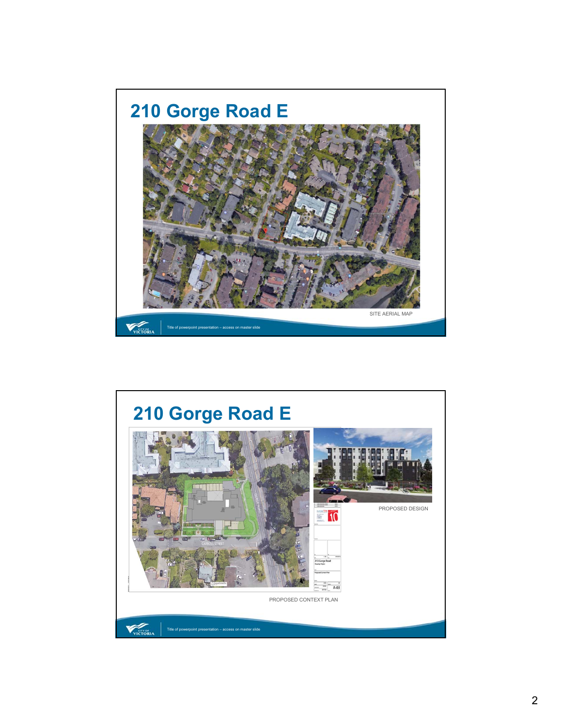

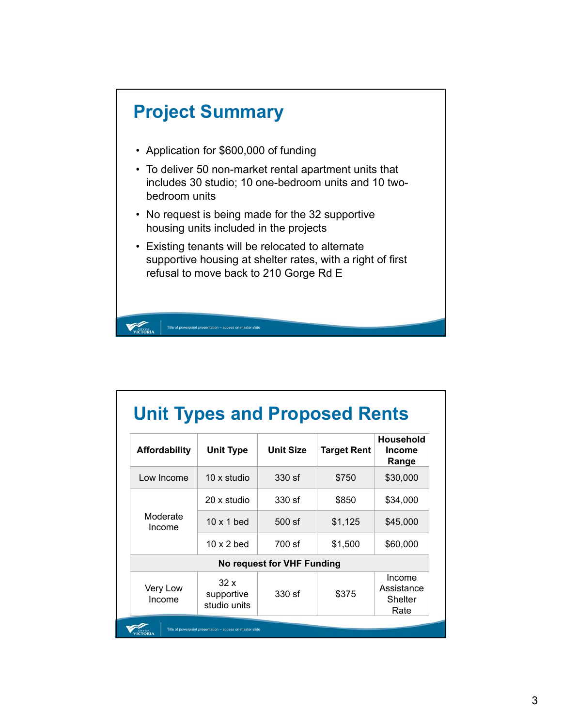

| <b>Affordability</b> | <b>Unit Type</b>                  | <b>Unit Size</b>           | <b>Target Rent</b> | Household<br><b>Income</b><br>Range     |
|----------------------|-----------------------------------|----------------------------|--------------------|-----------------------------------------|
| Low Income           | 10 x studio                       | 330 sf                     | \$750              | \$30,000                                |
| Moderate<br>Income   | 20 x studio                       | 330 sf                     | \$850              | \$34,000                                |
|                      | $10 \times 1$ bed                 | 500 sf                     | \$1,125            | \$45,000                                |
|                      | $10 \times 2$ bed                 | 700 sf                     | \$1,500            | \$60,000                                |
|                      |                                   | No request for VHF Funding |                    |                                         |
| Very Low<br>Income   | 32x<br>supportive<br>studio units | 330 sf                     | \$375              | Income<br>Assistance<br>Shelter<br>Rate |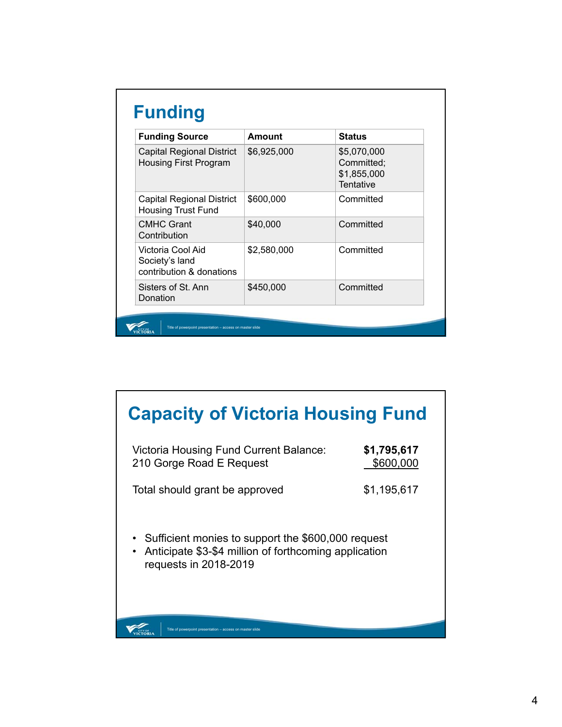| <b>Funding Source</b>                                            | Amount      | <b>Status</b>                                         |
|------------------------------------------------------------------|-------------|-------------------------------------------------------|
| <b>Capital Regional District</b><br><b>Housing First Program</b> | \$6,925,000 | \$5,070,000<br>Committed;<br>\$1,855,000<br>Tentative |
| <b>Capital Regional District</b><br><b>Housing Trust Fund</b>    | \$600,000   | Committed                                             |
| <b>CMHC Grant</b><br>Contribution                                | \$40,000    | Committed                                             |
| Victoria Cool Aid<br>Society's land<br>contribution & donations  | \$2,580,000 | Committed                                             |
| Sisters of St. Ann<br>Donation                                   | \$450,000   | Committed                                             |

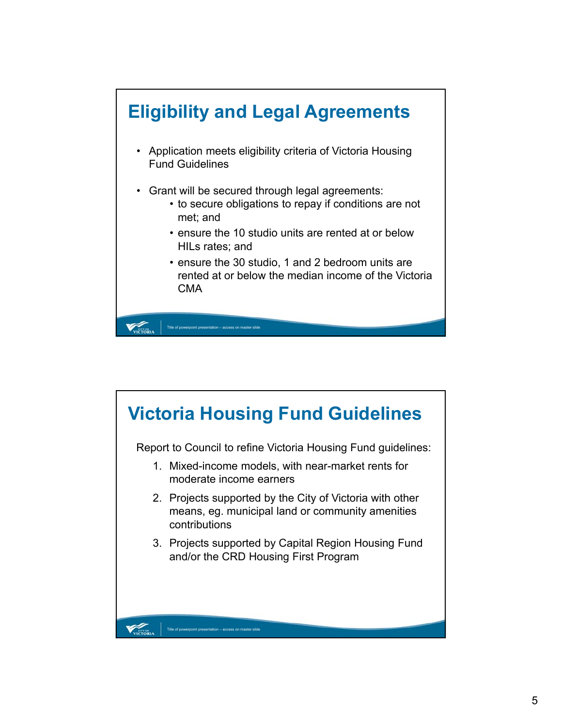